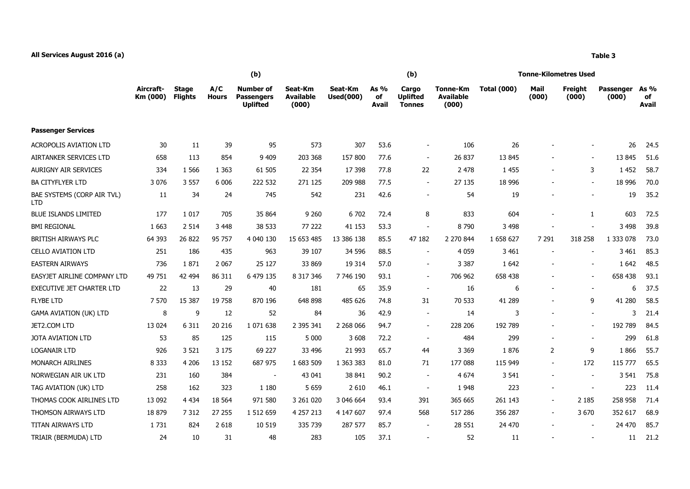## **All Services August 2016 (a) Table 3**

|                                          |                       | (b)                            |                     |                                                          |                                      |                             |                     | (b)                                       |                                       | <b>Tonne-Kilometres Used</b> |                          |                          |                           |                            |  |
|------------------------------------------|-----------------------|--------------------------------|---------------------|----------------------------------------------------------|--------------------------------------|-----------------------------|---------------------|-------------------------------------------|---------------------------------------|------------------------------|--------------------------|--------------------------|---------------------------|----------------------------|--|
|                                          | Aircraft-<br>Km (000) | <b>Stage</b><br><b>Flights</b> | A/C<br><b>Hours</b> | <b>Number of</b><br><b>Passengers</b><br><b>Uplifted</b> | Seat-Km<br><b>Available</b><br>(000) | Seat-Km<br><b>Used(000)</b> | As %<br>of<br>Avail | Cargo<br><b>Uplifted</b><br><b>Tonnes</b> | Tonne-Km<br><b>Available</b><br>(000) | <b>Total (000)</b>           | Mail<br>(000)            | Freight<br>(000)         | <b>Passenger</b><br>(000) | As %<br>of<br><b>Avail</b> |  |
| <b>Passenger Services</b>                |                       |                                |                     |                                                          |                                      |                             |                     |                                           |                                       |                              |                          |                          |                           |                            |  |
| <b>ACROPOLIS AVIATION LTD</b>            | 30                    | 11                             | 39                  | 95                                                       | 573                                  | 307                         | 53.6                | $\overline{\phantom{a}}$                  | 106                                   | 26                           |                          |                          | 26                        | 24.5                       |  |
| AIRTANKER SERVICES LTD                   | 658                   | 113                            | 854                 | 9 4 0 9                                                  | 203 368                              | 157 800                     | 77.6                | $\sim$                                    | 26 837                                | 13 8 45                      |                          |                          | 13 845                    | 51.6                       |  |
| AURIGNY AIR SERVICES                     | 334                   | 1 5 6 6                        | 1 3 6 3             | 61 505                                                   | 22 3 54                              | 17 398                      | 77.8                | 22                                        | 2 4 7 8                               | 1 4 5 5                      | $\sim$                   | 3                        | 1 4 5 2                   | 58.7                       |  |
| <b>BA CITYFLYER LTD</b>                  | 3 0 7 6               | 3 5 5 7                        | 6 0 0 6             | 222 532                                                  | 271 125                              | 209 988                     | 77.5                | $\sim$                                    | 27 135                                | 18 9 96                      |                          | $\sim$                   | 18 996                    | 70.0                       |  |
| BAE SYSTEMS (CORP AIR TVL)<br><b>LTD</b> | 11                    | 34                             | 24                  | 745                                                      | 542                                  | 231                         | 42.6                | $\sim$                                    | 54                                    | 19                           |                          |                          | 19                        | 35.2                       |  |
| <b>BLUE ISLANDS LIMITED</b>              | 177                   | 1 0 1 7                        | 705                 | 35 864                                                   | 9 2 6 0                              | 6 702                       | 72.4                | 8                                         | 833                                   | 604                          |                          | $\mathbf{1}$             | 603                       | 72.5                       |  |
| <b>BMI REGIONAL</b>                      | 1 6 6 3               | 2 5 1 4                        | 3 4 4 8             | 38 533                                                   | 77 222                               | 41 153                      | 53.3                | $\sim$                                    | 8790                                  | 3 4 9 8                      |                          |                          | 3 4 9 8                   | 39.8                       |  |
| BRITISH AIRWAYS PLC                      | 64 393                | 26 822                         | 95 757              | 4 040 130                                                | 15 653 485                           | 13 386 138                  | 85.5                | 47 182                                    | 2 270 844                             | 1 658 627                    | 7 2 9 1                  | 318 258                  | 1 333 078                 | 73.0                       |  |
| <b>CELLO AVIATION LTD</b>                | 251                   | 186                            | 435                 | 963                                                      | 39 107                               | 34 596                      | 88.5                | $\overline{\phantom{a}}$                  | 4 0 5 9                               | 3 4 6 1                      |                          |                          | 3 4 6 1                   | 85.3                       |  |
| <b>EASTERN AIRWAYS</b>                   | 736                   | 1871                           | 2 0 6 7             | 25 127                                                   | 33 869                               | 19 3 14                     | 57.0                | $\sim$                                    | 3 3 8 7                               | 1 6 4 2                      |                          |                          | 1 6 4 2                   | 48.5                       |  |
| EASYJET AIRLINE COMPANY LTD              | 49 751                | 42 494                         | 86 311              | 6 479 135                                                | 8 317 346                            | 7 746 190                   | 93.1                | $\sim$                                    | 706 962                               | 658 438                      |                          |                          | 658 438                   | 93.1                       |  |
| EXECUTIVE JET CHARTER LTD                | 22                    | 13                             | 29                  | 40                                                       | 181                                  | 65                          | 35.9                | $\overline{\phantom{a}}$                  | 16                                    | 6                            |                          |                          |                           | 6<br>37.5                  |  |
| <b>FLYBE LTD</b>                         | 7 5 7 0               | 15 3 87                        | 19 758              | 870 196                                                  | 648 898                              | 485 626                     | 74.8                | 31                                        | 70 533                                | 41 289                       |                          | 9                        | 41 280                    | 58.5                       |  |
| <b>GAMA AVIATION (UK) LTD</b>            | 8                     | 9                              | 12                  | 52                                                       | 84                                   | 36                          | 42.9                | $\sim$                                    | 14                                    | 3                            |                          |                          |                           | 3<br>21.4                  |  |
| JET2.COM LTD                             | 13 0 24               | 6 3 1 1                        | 20 216              | 1 071 638                                                | 2 395 341                            | 2 2 68 0 66                 | 94.7                | $\sim$                                    | 228 206                               | 192 789                      |                          |                          | 192 789                   | 84.5                       |  |
| JOTA AVIATION LTD                        | 53                    | 85                             | 125                 | 115                                                      | 5 0 0 0                              | 3 6 0 8                     | 72.2                | $\blacksquare$                            | 484                                   | 299                          |                          |                          | 299                       | 61.8                       |  |
| <b>LOGANAIR LTD</b>                      | 926                   | 3 5 2 1                        | 3 1 7 5             | 69 227                                                   | 33 496                               | 21 9 93                     | 65.7                | 44                                        | 3 3 6 9                               | 1876                         | $\overline{2}$           | 9                        | 1866                      | 55.7                       |  |
| MONARCH AIRLINES                         | 8 3 3 3               | 4 2 0 6                        | 13 152              | 687 975                                                  | 1 683 509                            | 1 363 383                   | 81.0                | 71                                        | 177 088                               | 115 949                      | $\sim$                   | 172                      | 115 777                   | 65.5                       |  |
| NORWEGIAN AIR UK LTD                     | 231                   | 160                            | 384                 | $\blacksquare$                                           | 43 041                               | 38 841                      | 90.2                | $\sim$                                    | 4 6 7 4                               | 3 5 4 1                      |                          | $\blacksquare$           | 3 5 4 1                   | 75.8                       |  |
| TAG AVIATION (UK) LTD                    | 258                   | 162                            | 323                 | 1 1 8 0                                                  | 5 6 5 9                              | 2 6 1 0                     | 46.1                | $\sim$                                    | 1948                                  | 223                          | $\overline{\phantom{a}}$ | $\overline{\phantom{a}}$ | 223                       | 11.4                       |  |
| THOMAS COOK AIRLINES LTD                 | 13 092                | 4 4 3 4                        | 18 5 64             | 971 580                                                  | 3 261 020                            | 3 046 664                   | 93.4                | 391                                       | 365 665                               | 261 143                      | $\blacksquare$           | 2 1 8 5                  | 258 958                   | 71.4                       |  |
| THOMSON AIRWAYS LTD                      | 18 879                | 7 3 1 2                        | 27 255              | 1 512 659                                                | 4 257 213                            | 4 147 607                   | 97.4                | 568                                       | 517 286                               | 356 287                      | $\sim$                   | 3 6 7 0                  | 352 617                   | 68.9                       |  |
| TITAN AIRWAYS LTD                        | 1731                  | 824                            | 2 6 18              | 10 519                                                   | 335 739                              | 287 577                     | 85.7                | $\sim$                                    | 28 551                                | 24 470                       |                          |                          | 24 470                    | 85.7                       |  |
| TRIAIR (BERMUDA) LTD                     | 24                    | 10                             | 31                  | 48                                                       | 283                                  | 105                         | 37.1                | $\blacksquare$                            | 52                                    | 11                           |                          |                          | 11                        | 21.2                       |  |